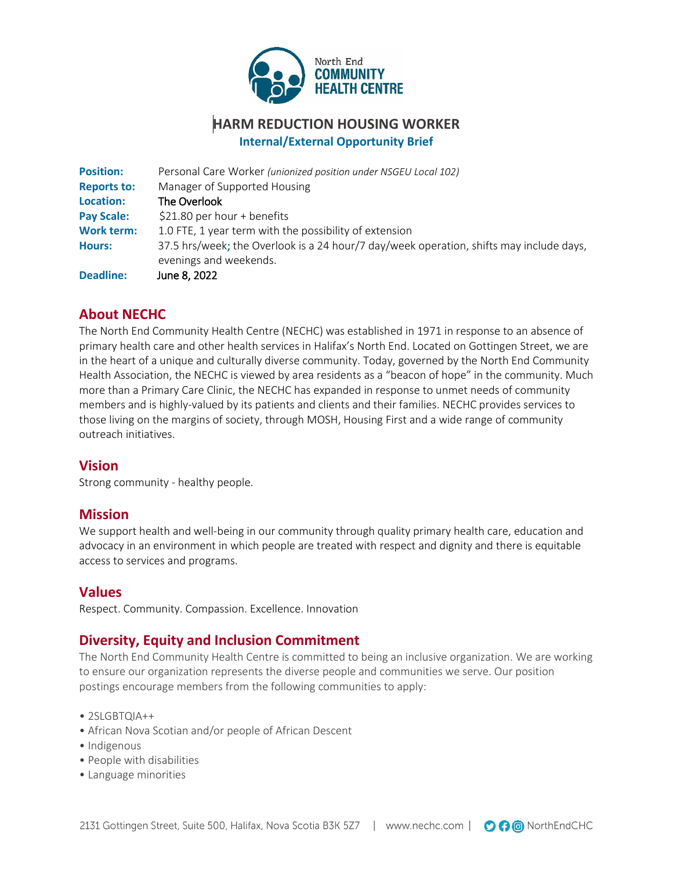

# **HARM REDUCTION HOUSING WORKER Internal/External Opportunity Brief**

| <b>Position:</b>   | Personal Care Worker (unionized position under NSGEU Local 102)                                                   |
|--------------------|-------------------------------------------------------------------------------------------------------------------|
| <b>Reports to:</b> | Manager of Supported Housing                                                                                      |
| Location:          | The Overlook                                                                                                      |
| <b>Pay Scale:</b>  | $$21.80$ per hour + benefits                                                                                      |
| <b>Work term:</b>  | 1.0 FTE, 1 year term with the possibility of extension                                                            |
| <b>Hours:</b>      | 37.5 hrs/week; the Overlook is a 24 hour/7 day/week operation, shifts may include days,<br>evenings and weekends. |
| <b>Deadline:</b>   | June 8, 2022                                                                                                      |

## **About NECHC**

The North End Community Health Centre (NECHC) was established in 1971 in response to an absence of primary health care and other health services in Halifax's North End. Located on Gottingen Street, we are in the heart of a unique and culturally diverse community. Today, governed by the North End Community Health Association, the NECHC is viewed by area residents as a "beacon of hope" in the community. Much more than a Primary Care Clinic, the NECHC has expanded in response to unmet needs of community members and is highly-valued by its patients and clients and their families. NECHC provides services to those living on the margins of society, through MOSH, Housing First and a wide range of community outreach initiatives.

#### **Vision**

Strong community - healthy people.

#### **Mission**

We support health and well-being in our community through quality primary health care, education and advocacy in an environment in which people are treated with respect and dignity and there is equitable access to services and programs.

#### **Values**

Respect. Community. Compassion. Excellence. Innovation

### **Diversity, Equity and Inclusion Commitment**

The North End Community Health Centre is committed to being an inclusive organization. We are working to ensure our organization represents the diverse people and communities we serve. Our position postings encourage members from the following communities to apply:

- 2SLGBTQIA++
- African Nova Scotian and/or people of African Descent
- Indigenous
- People with disabilities
- Language minorities

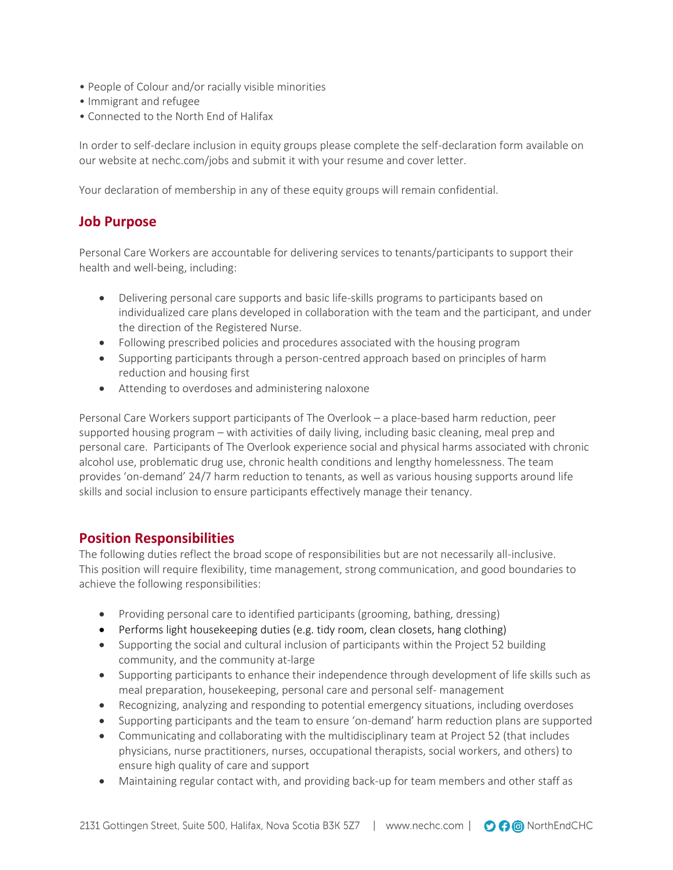- People of Colour and/or racially visible minorities
- Immigrant and refugee
- Connected to the North End of Halifax

In order to self-declare inclusion in equity groups please complete the self-declaration form available on our website at nechc.com/jobs and submit it with your resume and cover letter.

Your declaration of membership in any of these equity groups will remain confidential.

### **Job Purpose**

Personal Care Workers are accountable for delivering services to tenants/participants to support their health and well-being, including:

- Delivering personal care supports and basic life-skills programs to participants based on individualized care plans developed in collaboration with the team and the participant, and under the direction of the Registered Nurse.
- Following prescribed policies and procedures associated with the housing program
- Supporting participants through a person-centred approach based on principles of harm reduction and housing first
- Attending to overdoses and administering naloxone

Personal Care Workers support participants of The Overlook – a place-based harm reduction, peer supported housing program – with activities of daily living, including basic cleaning, meal prep and personal care. Participants of The Overlook experience social and physical harms associated with chronic alcohol use, problematic drug use, chronic health conditions and lengthy homelessness. The team provides 'on-demand' 24/7 harm reduction to tenants, as well as various housing supports around life skills and social inclusion to ensure participants effectively manage their tenancy.

#### **Position Responsibilities**

The following duties reflect the broad scope of responsibilities but are not necessarily all-inclusive. This position will require flexibility, time management, strong communication, and good boundaries to achieve the following responsibilities:

- Providing personal care to identified participants (grooming, bathing, dressing)
- Performs light housekeeping duties (e.g. tidy room, clean closets, hang clothing)
- Supporting the social and cultural inclusion of participants within the Project 52 building community, and the community at-large
- Supporting participants to enhance their independence through development of life skills such as meal preparation, housekeeping, personal care and personal self- management
- Recognizing, analyzing and responding to potential emergency situations, including overdoses
- Supporting participants and the team to ensure 'on-demand' harm reduction plans are supported
- Communicating and collaborating with the multidisciplinary team at Project 52 (that includes physicians, nurse practitioners, nurses, occupational therapists, social workers, and others) to ensure high quality of care and support
- Maintaining regular contact with, and providing back-up for team members and other staff as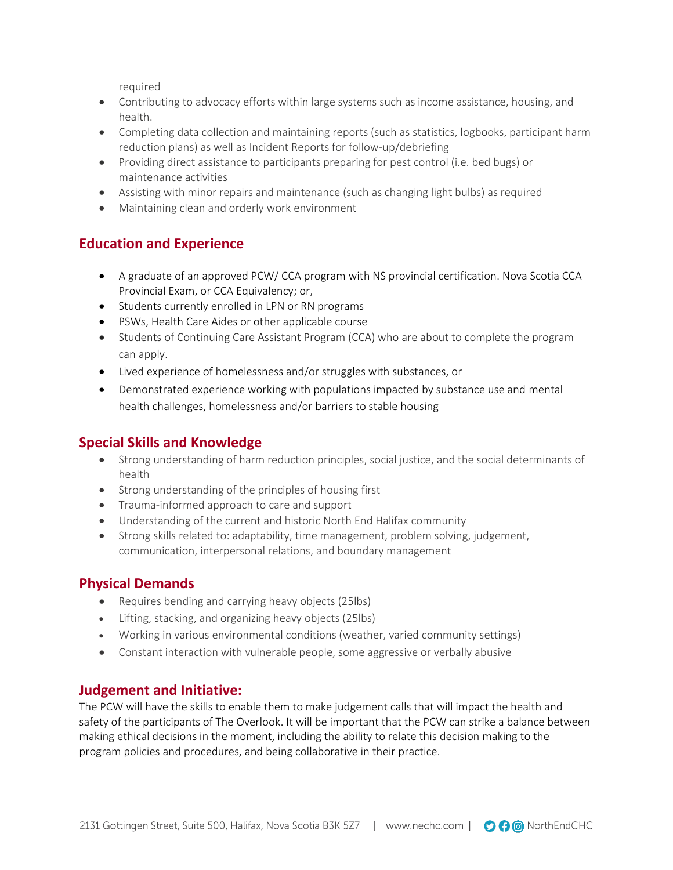required

- Contributing to advocacy efforts within large systems such as income assistance, housing, and health.
- Completing data collection and maintaining reports (such as statistics, logbooks, participant harm reduction plans) as well as Incident Reports for follow-up/debriefing
- Providing direct assistance to participants preparing for pest control (i.e. bed bugs) or maintenance activities
- Assisting with minor repairs and maintenance (such as changing light bulbs) as required
- Maintaining clean and orderly work environment

## **Education and Experience**

- A graduate of an approved PCW/ CCA program with NS provincial certification. Nova Scotia CCA Provincial Exam, or CCA Equivalency; or,
- Students currently enrolled in LPN or RN programs
- PSWs, Health Care Aides or other applicable course
- Students of Continuing Care Assistant Program (CCA) who are about to complete the program can apply.
- Lived experience of homelessness and/or struggles with substances, or
- Demonstrated experience working with populations impacted by substance use and mental health challenges, homelessness and/or barriers to stable housing

### **Special Skills and Knowledge**

- Strong understanding of harm reduction principles, social justice, and the social determinants of health
- Strong understanding of the principles of housing first
- Trauma-informed approach to care and support
- Understanding of the current and historic North End Halifax community
- Strong skills related to: adaptability, time management, problem solving, judgement, communication, interpersonal relations, and boundary management

### **Physical Demands**

- Requires bending and carrying heavy objects (25lbs)
- Lifting, stacking, and organizing heavy objects (25lbs)
- Working in various environmental conditions (weather, varied community settings)
- Constant interaction with vulnerable people, some aggressive or verbally abusive

#### **Judgement and Initiative:**

The PCW will have the skills to enable them to make judgement calls that will impact the health and safety of the participants of The Overlook. It will be important that the PCW can strike a balance between making ethical decisions in the moment, including the ability to relate this decision making to the program policies and procedures, and being collaborative in their practice.